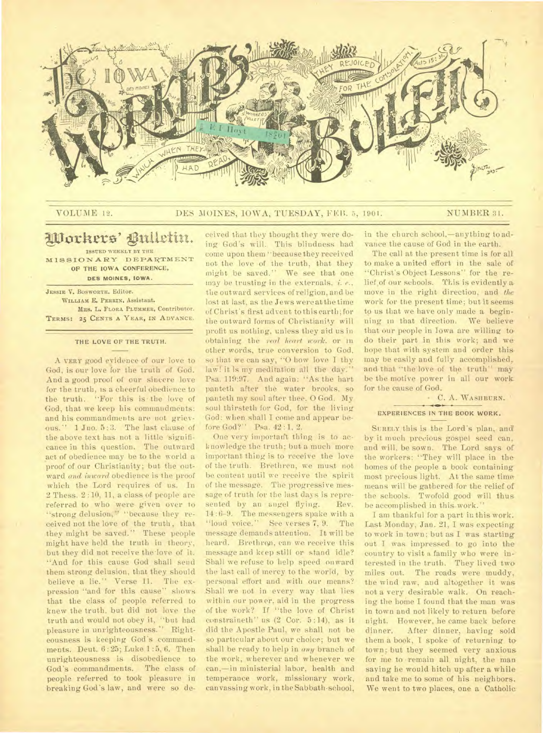

# VOLUME 1**2.** DES MOINES, IOWA, TUESDAY, **FEll. 5, 1901.** NUMBER **31.**

# **VI:Torture' ignite-in.**

**ISSUED WEEKLY BY THE MISSIONARY DEPARTMENT OF THE IOWA CONFERENCE. DES MOINES, IOWA.** 

**JESSIE V. BOSWORTH. Editor. WILLIAM E. PERRIN. Assistant. MRS. L. FLORA PLUMMER, Contributor. TERMS: 25 CENTS A YEAR, IN ADVANCE.** 

### **THE LOVE OF THE TRUTH.**

A **VERY** good evidence of our love to God, is our love for the truth of God. And a good proof of our sincere love for the truth, is a cheerful obedience to the truth. "For this is- the love of God, that we keep his commandments: and his commandments are not grievous." 1 Jno. 5:3. The last clause of the above text has not a little significance in this question. The outward act of obedience may be to the world a proof of our Christianity; but the outward *and inward* obedience is the proof which the Lord requires of us. In 2 Thess. 2 :10, 11, a class of people are referred to who were given over to "strong delusion," "because they received not the love of the truth, that they might be saved." These people might have held the truth in theory, but they did not receive the love of it. "And for this cause God shall send them strong delusion, that they should believe a lie." Verse 11. The expression "and for this cause" shows that the class of people referred to knew the truth, but did not love the truth and would not obey it, "but had pleasure in unrighteousness." Righteousness is keeping God's commandments. Dent. 6 : 25; Luke 1 :5, 6. Then unrighteousness is disobedience to God's commandments. The class of people referred to took pleasure in breaking God's law, and were so de-

ceived that they thought they were doing God's will. This blindness had come upon them "because they received not the love of the truth, that they might be saved." We see that one may be trusting in the externals, *i. e.,*  the outward services of religion, and be lost at last, as the Jews were at the time of Christ's first advent to this earth; for the outward forms of Christianity will profit us nothing, unless they aid us in obtaining the *real heart work,* or in other words, true conversion to God, so that we can say, "O how love I thy laW! it is my meditation all the day." Psa. 119:97. And again: "As the hart panteth after the water brooks, so pauteth my soul after thee, 0 God. My soul thirsteth for God, for the living God: when shall I come and appear before God?" Psa. 42:1, 2.

One very important thing is to acknowledge the truth; but a much more important thing is to receive the love of the truth. Brethren, we must not be content until we receive the spirit of the message. The progressive message of truth for the last days is represented by an angel flying. Rev. 14 :6-9. The messengers spake with a "loud voice." See verses 7, 9. The message demands attention. It will be heard. Brethren, can we receive this message and keep still or stand idle? Shall we refuse to help speed onward the last call of mercy to the world, by personal effort and with our means? Shall we not in every way that lies within our power, aid in the progress of the work? If "the love of Christ constraineth" us (2 Cor. 5 :14), as it did the Apostle Paul, we shall not be so particular about our choice; but we shall be ready to help in *any* branch of the work, wherever and whenever we can,—in ministerial labor, health and temperance work, missionary work, canvassing work, in the Sabbath-school,

in the church school,—anything to advance the cause of God in the earth.

The call at the present time is for all to make a united effort in the sale of "Christ's Object Lessons" for the relief of our schools. This is evidently a move in the right direction, and *the*  work for the present time; but it seems to us that we have only made a beginning in that direction. We believe. that our people in Iowa are willing to do their part in this work; and wehope that with system and order this. may be easily and fully accomplished, and that "the love of the truth" may be the motive power in all our work. for the cause of God.

• C. A. **WASHBURN.-** 

### **EXPERIENCES IN THE BOOK WORK.**

**SURELY** this is the Lord's plan, and by it much precious gospel seed can, and will, be sown. The Lord says of the workers: "They will place in the homes of the people a book containingmost precious light. At the same time means will be gathered for the relief of the schools. Twofold good will thus be accomplished in this. work."

I am thankful for a part in this work. Last Monday, Jan. 21, I was expecting to work in town; but as I was starting out I was impressed to go into the country to visit a family who were interested in the truth. They lived two miles out. The roads were muddy, the wind raw, and altogether it was not a very desirable walk. On reaching the home I found that the man was in town and not likely to return before night. However, he came back before dinner. After dinner, having sold them a book, I spoke of returning to town; but they seemed very anxious for me to remain all night, the man saying he would hitch up after a while and take me to some of his neighbors. We went to two places, one a Catholic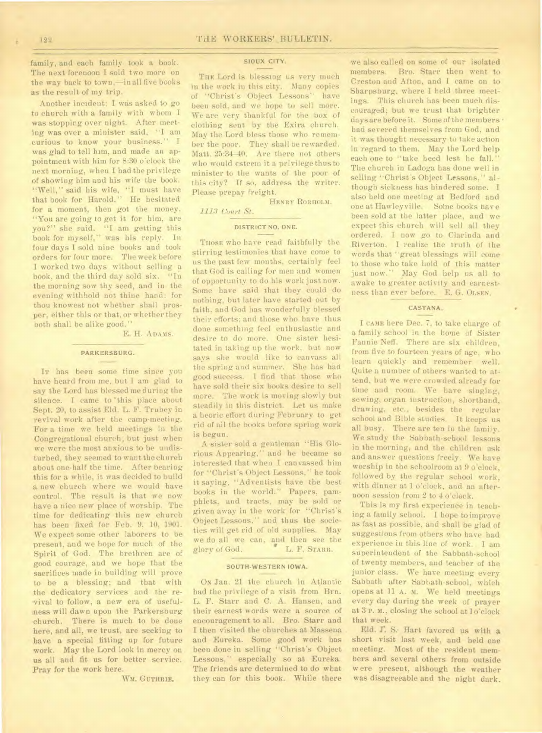family, and each family took a book. The next forenoon I sold two more on the way back to town,—in all five books as the result of my trip.

Another incident: I was asked to go to church with a family with whom I was stopping over night. After meeting was over a minister said, "I am curious to know your business." I was glad to tell him, and made an appointment with him for 8:30 o'clock the next morning, when I had the privilege of showing him and his wife the book. "Well," said his wife, "I must have that book for Harold." He hesitated for a moment, then got the money. "You are going to get it for him, are you?" she said. "I am getting this book for myself," was his reply. In four days I sold nine books and took orders for four more. The week before I worked two days without selling a book, and the third day sold six. "In the morning sow thy seed, and in the evening withhold not thine hand: for thou knowest not whether shall prosper, either this or that, or whether they both shall be alike good."

E. H. **ADAMS.** 

# **PARKERSBURG.**

**IT** has been some time since you have heard from me, but I am glad to say the Lord has blessed me during the silence. I came to 'this place about Sept. 20, to assist Eld. L. F. Trubey in revival work after the camp-meeting. For a time we held meetings in the Congregational church; but just when we were the most anxious to be undisturbed, they seemed to want the church about one-half the time. After bearing this for a while, it was decided to build a new church where we would have control. The result is that we now have a nice new place of worship. The time for dedicating this new church has been fixed for Feb. 9, 10, 1901. We expect some other laborers to be present, and we hope for much of the Spirit of God. The brethren are of good courage, and we hope that the sacrifices made in building will prove to be a blessing; and that with the dedicatory services and the revival to follow, a new era of usefulness will dawn upon the Parkersburg church. There is much to be done here, and all, we trust, are seeking to have a special fitting up for future work. May the Lord look in mercy on us all and fit us for better service. Pray for the work here.

### W<sub>M</sub>. GUTHRIE.

**SIOUX CITY.** 

THE Lord is blessing us very much in the work in this city. Many copies of "Christ's Object Lessons" have been sold, and we hope to sell more. We are very thankful for the box of clothing sent by the Exira church. May the Lord bless those who remember the poor. They shall be rewarded. Matt. 25:34-40. Are there not others who would esteem it a privilege thus to minister to the wants of the poor of this city? If so, address the writer. Please prepay freight.

**HENRY RORHOLM.** 

### *1113 Court St.*

# **DISTRICT NO. ONE.**

**THOSE** who have read faithfully the stirring testimonies that have come to us the past few months, certainly feel that God is calling for men and women of opportunity to do his work just now. Some have said that they could do nothing, but later have started out by faith, and God has wonderfully blessed their efforts; and those who have thus done something feel enthusiastic and desire to do more. One sister hesitated in taking up the work, but now says she would like to canvass all the spring and summer. She has had good success. I find that those who have sold their six books desire to sell more. The work is moving slowly but steadily in this district. Let us make a heoric effort during February to get rid of ail the books before spring work is begun.

A sister sold a gentleman "His Glorious Appearing," and he became so interested that when I canvassed him for "Christ's Object Lessons," he took it saying, "Adventists have the best books in the world." Papers, pamphlets, and tracts, may be sold or given away in the work for "Christ'S Object Lessons," and thus the societies will get rid of old supplies. May we do all we can, and then see the glory of God.  $\bullet$  L. F. STARR. glory of God.

### **SOUTH-WESTERN IOWA.**

**ON** Jan. 21 the church in Atlantic had the privilege of a visit from Brn. L. F. Starr and C. A. Hansen, and their earnest words were a source of encouragement to all. Bro. Starr and I then visited the churches at Massena and Eureka. Some good work has been done in selling "Christ's Object Lessons," especially so at Eureka. The friends are determined to do what they can for this book. While there we also called on some of our isolated members. Bro. Starr then went to Creston and Afton, and I came on to Sharpsburg, where I held three meetings. This church has been much discouraged; but we trust that brighter days are before it. Some of the members • bad severed themselves from God, and it was thought necessary to take action in regard to them. May the Lord help each one to "take heed lest he fall." The church in Ladoga has done well in selling "Christ's Object Lessons," although sickness has hindered some. I also held one meeting at Bedford and one at Hawleyville. Some books have been sold at the latter place, and we expect this church will sell all they ordered. I now go to Clarinda and Riverton. I realize the truth of the words that "great blessings will come to those who take hold of this matter just **now.''** May God help us all to awake to greater activity and earnestness than ever before. E. G. **OLSEN.** 

# **CASTANA.**

I CAME here Dee. 7, to take charge of a family school in the home of Sister Fannie Neff. There are six children, from five to fourteen years of age, who learn quickly and remember well. Quite a number of others wanted to attend, but we were crowded already for time and room. We have singing, sewing, organ instruction, shorthand, drawing, etc., besides the regular school and Bible studies. It keeps us all busy. There are ten in the family. We study the Sabbath-school lessons in the morning, and the children ask and answer questions freely. We have worship in the schoolroom at 9 o'clock, followed by the regular school work, with dinner at 1 o'clock, and an afternoon session from 2 to 4 o'clock.

This is my first experience in teaching a family school. I hope to improve as fast as possible, and shall be glad of suggestions from others who have had experience in this line of work. I am superintendent of the Sabbath-school of twenty members, and teacher of the junior class. We have meeting every Sabbath after Sabbath-school, which opens at **11 A.** M. We held meetings every day during the week of prayer at 3 p. m., closing the school at 1 o'clock that week.

Eld. J. S: Hart favored us with a short visit last week, and held one meeting. Most of the resident members and several others from outside w ere present, although the weather was disagreeable and the night dark.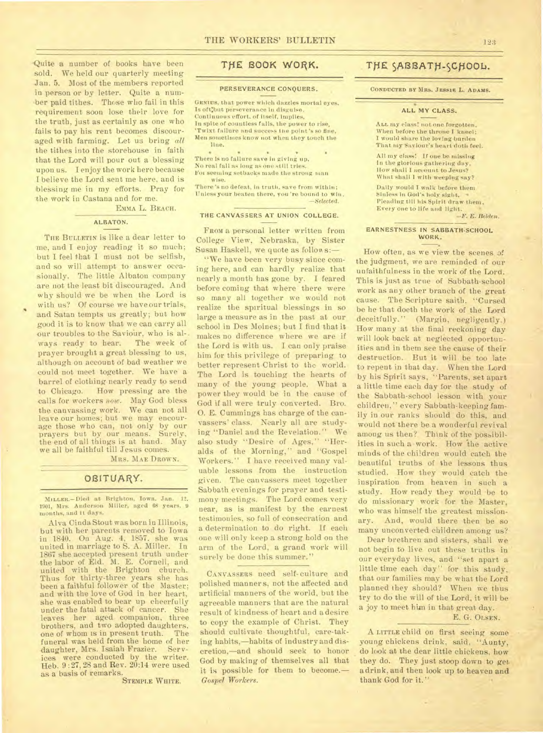Quite a number of books have been sold. We held our quarterly meeting Jan. 5. Most of the members reported in person or by letter. Quite a number paid tithes. Those who fail in this requirement soon lose their love for the truth, just as certainly as one who fails to pay his rent becomes discouraged with farming. Let us bring *all*  the tithes into the storehouse in faith that the Lord will pour out a blessing upon us. I enjoy the work here because I believe the Lord sent me here, and is blessing me in my efforts. Pray for the work in Castana and for me.

EMMA L. BEACH.

# **ALBATON.**

THE BULLETIN is like a dear letter to me, and I enjoy reading it so much; but I feel that I must not be selfish, and so will attempt to answer occasionally. The little Albaton company are not the least bit discouraged. And why should we be when the Lord is with us? Of course we have our trials, and Satan tempts us greatly; but how good it is to know that we can carry all our troubles to the Saviour, who is always ready to hear. The week of ways ready to hear. prayer brought a great blessing to us, although on account of bad weather we could not meet together. We have a barrel of clothing nearly ready to send to Chicago. How pressing are the calls for workers *now.* May God bless the canvassing work. We can not all leave our homes; but we may encourage those who can, not only by our prayers but by our means. Surely, the end of all things is at hand. May we all be faithful till Jesus comes.

MRS. MAE DROWN.

# OBITUARY.

MILLER.-Died at Brighton, Iowa, Jan. 12. 1901, Mrs. Anderson Miller, aged 68 years. 9 months, and It days.

Alva Cinda Stout was born in Illinois, but with her parents removed to Iowa in 1840. On Aug. 4, 1857, she was united in marriage to S. A. Miller. In 1867 she accepted present truth under the labor of Eld. M. E. Cornell, and united with the Brighton church. Thus for thirty-three years she has been a faithful follower of the Master; and with the love of God in her heart, she was enabled to bear up cheerfully under the fatal attack of cancer. She leaves her aged companion, three brothers, and two adopted daughters,<br>one of whom is in present truth The one of whom is in present truth. funeral was held from the home of her<br>daughter, Mrs. Isaiah Frazier. Servdaughter, Mrs. Isaiah Frazier. ices were conducted by the writer. Heb. 9 :27, 28 and Rev. 20:14 were used as a basis of remarks.

STEMPLE WHITE.

# **TJfE BOOK WORK.**

### PERSEVERANCE CONQUERS.

GENIUS, that power which dazzles mortal eyes, Is oft:but perseverance in disguise. Continuous effort, of itself, implies, In spite of countless falls, the power to rise, 'Twixt failure and success the point's so fine, Men sometimes know not when they touch the line.

\* There is no failure save in giving up, No real fall as long as one still tries. For seeming setbacks made the strong man wise.

There's no defeat, in truth, save from within; Unless your beaten there, you're bound to win. —Selected.

### **THE CANVASSERS AT UNION COLLEGE.**

FROM a personal letter written from College View, Nebraska, by Sister Susan Haskell, we quote as follow s:—

"We have been very busy since coming here, and can hardly realize that nearly a month has gone by. I feared before coming that where there were so many all together we would not realize the spiritual blessings in so large a measure as in the past at our school in Des Moines; but I find that it makes no difference where we are if the Lord is with us. I can only praise him for this privilege of preparing to better represent Christ to the world. The Lord is touching the hearts of many of the young people. What a power they would be in the cause of God if all were truly converted. Bro. 0. E. Cummings has charge of the canvassers' class. Nearly all are studying "Daniel and the Revelation." We also study "Desire of Ages," "Heralds of the Morning," and "Gospel Workers." I have received many valuable lessons from the instruction given. The canvassers meet together Sabbath evenings for prayer and testimony meetings. The Lord comes very near, as is manifest by the earnest testimonies. sofull of consecration and a determination to do right. If each one will only keep a strong hold on the arm of the Lord, a grand work will surely be done this summer.'

CANVASSERS need self- culture and polished manners, not the affected and artificial manners of the world, but the agreeable manners that are the natural result of kindness of heart and a desire to copy the example of Christ. They should cultivate thoughtful, care-taking habits,—habits of industry and discretion,—and should seek to honor God by making of themselves all that it is possible for them to become.— *Gospel Workers.* 

# THE SABBATH-SCHOOL.

**CONDUCTED BY MRS. JESSIE L. ADAMS.** 

### **ALL MY CLASS.**

ALL my class! not one forgotten, When before the throne I kneel; I would share the loving burden That my Saviour's heart doth feel.

All my class! If one be missing In the glorious gathering day, Ilow shall I account to Jesus? What shall I with weeping say?

Daily would I walk before them Sinless in God's holy sight, Pleading till his Spirit draw them, Every one to life and light.

—F. E. Belden.

### **EARNESTNESS IN** SABBATH-SCHOOL WORK.

How often, as we view the scenes of the judgment, we are reminded of our unfaithfulness in the work of the Lord. This is just as true of Sabbath-school work as any other branch of the great cause. The Scripture saith, "Cursed be he that doeth the work of the Lord deceitfully." (Margin, negligently.) How many at the final reckoning day will look back at neglected opportunities and in them see the cause of their destruction. But it will be too late to repent in that day. When the Lord by his Spirit says, "Parents, set apart a little time each day for the study of the Sabbath-school lesson with your children," every Sabbath-keeping family in our ranks should do this, and would not there be a wonderful revival among us then? Think of the possibilities in such a -work. How the active minds of the children would catch the beautiful truths of the lessons thus studied. How they would catch the inspiration from heaven in such a study. How ready they would be to do missionary work for the Master, who was himself the greatest missionary. And, would there then be so many unconverted children among us?

Dear brethren and sisters, shall we not begin to live out these truths in our everyday lives, and "set apart a little time each day" for this study, that our families may be what the Lord planned they should? When we thus try to do the will of the Lord, it will be a joy to meet him in that great day.

# E. G. OLSEN.

A LITTLE child on first seeing some young chickens drink, said, "Aunty, do look at the dear little chickens, how they do. They just stoop down to get a drink, and then look up to heaven and thank God for it."